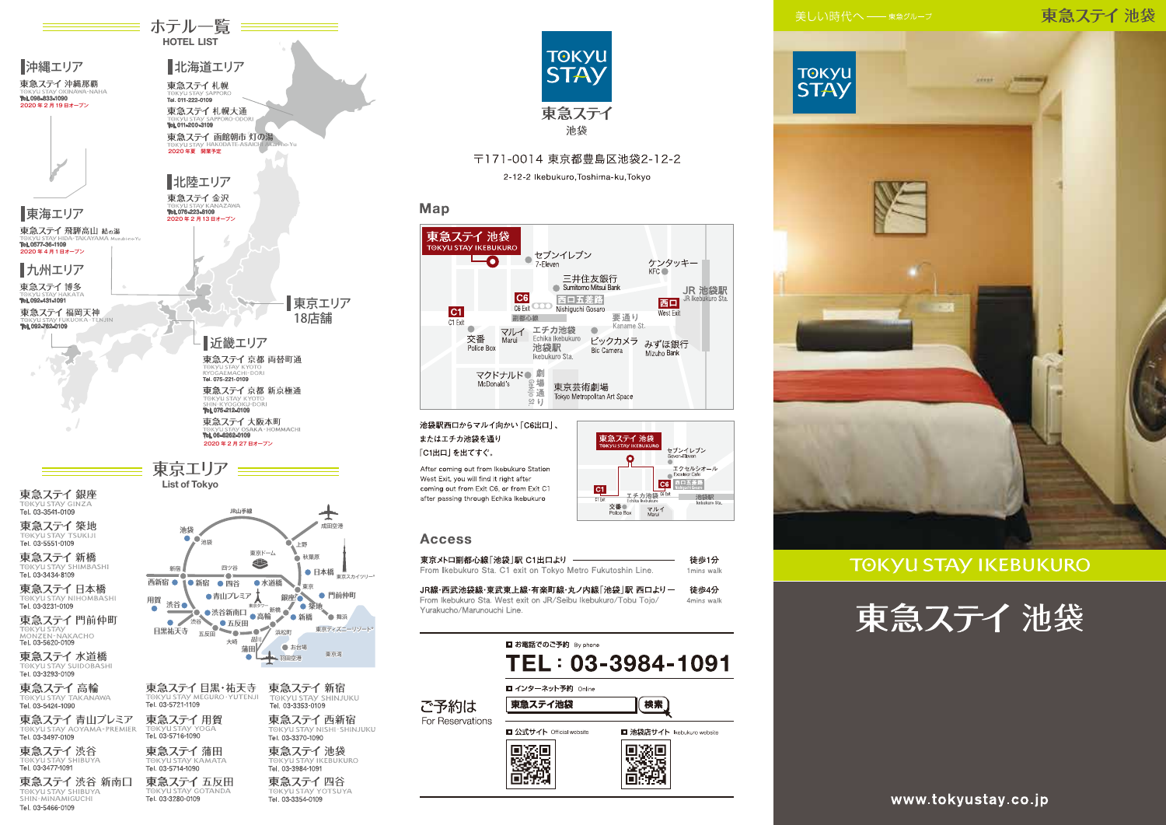#### 東急ステイ池袋



#### **TOKYU STAY IKEBUKURO**





≡ ホテル一覧 ≡≡≡ **HOTEL LIST** 

> 東急ステイ四谷 Tel. 03-3354-0109

Tel. 03-3280-0109

TOKYU STAY SHIBUYA

Tel. 03-5466-0109



〒171-0014 東京都豊島区池袋2-12-2 2-12-2 Ikebukuro, Toshima-ku, Tokyo

#### Map



東急ステイ 池袋

交番●<br>Police Box

 $C1$ 

 $\sim$ 

ェチカ池袋 <sup>06 bit</sup>

マルイ

セブンイレブン<br>Seven-Beven

C6 西口五差路

エクセルシオール<br>Excelsior Cafe

池袋駅

池袋駅西口からマルイ向かい「C6出口」、 またはエチカ池袋を通り 「C1出口」を出てすぐ。

After coming out from Ikebukuro Station West Exit, you will find it right after coming out from Exit C6, or from Exit C1 after passing through Echika Ikebukuro

#### **Access**

東京メトロ副都心線「池袋」駅 C1出口より -徒歩1分 From Ikebukuro Sta. C1 exit on Tokyo Metro Fukutoshin Line 1mins walk

JR線・西武池袋線・東武東上線・有楽町線・丸ノ内線「池袋」駅 西口より一 徒歩4分 From Ikebukuro Sta West exit on JR/Seibu Ikebukuro/Tobu Tojo Amins walk Yurakucho/Marunouchi Line